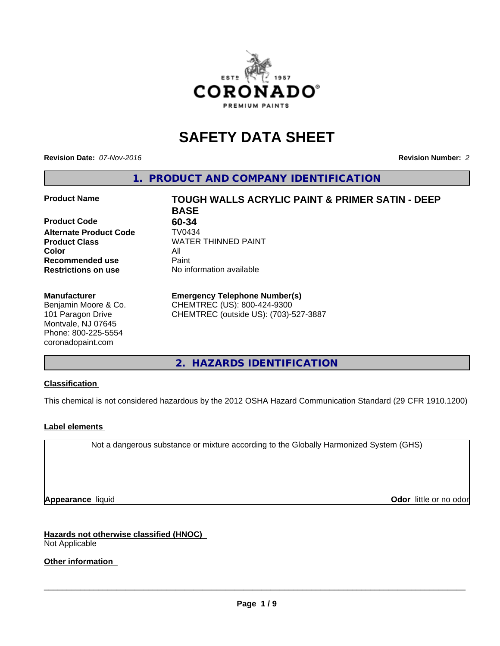

# **SAFETY DATA SHEET**

**Revision Date:** *07-Nov-2016* **Revision Number:** *2*

**1. PRODUCT AND COMPANY IDENTIFICATION**

#### **Product Name TOUGH WALLS ACRYLIC PAINT & PRIMER SATIN - DEEP**

**Product Code 60-34 Alternate Product Code TV0434**<br>**Product Class** WATER **Color** All **Recommended use** Paint<br> **Restrictions on use** No inf

#### **Manufacturer**

Benjamin Moore & Co. 101 Paragon Drive Montvale, NJ 07645 Phone: 800-225-5554 coronadopaint.com

**BASE Product Class** WATER THINNED PAINT<br>
Color **No information available** 

## **Emergency Telephone Number(s)**

CHEMTREC (US): 800-424-9300 CHEMTREC (outside US): (703)-527-3887

**2. HAZARDS IDENTIFICATION**

#### **Classification**

This chemical is not considered hazardous by the 2012 OSHA Hazard Communication Standard (29 CFR 1910.1200)

#### **Label elements**

Not a dangerous substance or mixture according to the Globally Harmonized System (GHS)

**Appearance** liquid **Odor in the original of the original of the original of the original of the original of the original of the original of the original of the original of the original of the original of the original of t** 

**Hazards not otherwise classified (HNOC)** Not Applicable

**Other information**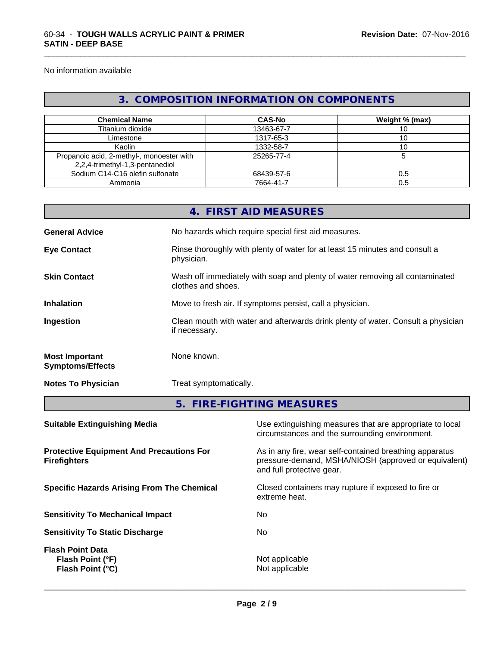No information available

## **3. COMPOSITION INFORMATION ON COMPONENTS**

\_\_\_\_\_\_\_\_\_\_\_\_\_\_\_\_\_\_\_\_\_\_\_\_\_\_\_\_\_\_\_\_\_\_\_\_\_\_\_\_\_\_\_\_\_\_\_\_\_\_\_\_\_\_\_\_\_\_\_\_\_\_\_\_\_\_\_\_\_\_\_\_\_\_\_\_\_\_\_\_\_\_\_\_\_\_\_\_\_\_\_\_\_

| <b>Chemical Name</b>                                                         | <b>CAS-No</b> | Weight % (max) |
|------------------------------------------------------------------------------|---------------|----------------|
| Titanium dioxide                                                             | 13463-67-7    |                |
| Limestone                                                                    | 1317-65-3     |                |
| Kaolin                                                                       | 1332-58-7     | 10             |
| Propanoic acid, 2-methyl-, monoester with<br>2,2,4-trimethyl-1,3-pentanediol | 25265-77-4    |                |
| Sodium C14-C16 olefin sulfonate                                              | 68439-57-6    | 0.5            |
| Ammonia                                                                      | 7664-41-7     | 0.5            |

|                                                                        |               | 4. FIRST AID MEASURES                                                                                                                        |  |  |
|------------------------------------------------------------------------|---------------|----------------------------------------------------------------------------------------------------------------------------------------------|--|--|
| <b>General Advice</b>                                                  |               | No hazards which require special first aid measures.                                                                                         |  |  |
| <b>Eye Contact</b>                                                     | physician.    | Rinse thoroughly with plenty of water for at least 15 minutes and consult a                                                                  |  |  |
| <b>Skin Contact</b>                                                    |               | Wash off immediately with soap and plenty of water removing all contaminated<br>clothes and shoes.                                           |  |  |
| <b>Inhalation</b>                                                      |               | Move to fresh air. If symptoms persist, call a physician.                                                                                    |  |  |
| Ingestion                                                              | if necessary. | Clean mouth with water and afterwards drink plenty of water. Consult a physician                                                             |  |  |
| <b>Most Important</b><br><b>Symptoms/Effects</b>                       | None known.   |                                                                                                                                              |  |  |
| <b>Notes To Physician</b>                                              |               | Treat symptomatically.                                                                                                                       |  |  |
|                                                                        |               | 5. FIRE-FIGHTING MEASURES                                                                                                                    |  |  |
| <b>Suitable Extinguishing Media</b>                                    |               | Use extinguishing measures that are appropriate to local<br>circumstances and the surrounding environment.                                   |  |  |
| <b>Protective Equipment And Precautions For</b><br><b>Firefighters</b> |               | As in any fire, wear self-contained breathing apparatus<br>pressure-demand, MSHA/NIOSH (approved or equivalent)<br>and full protective gear. |  |  |
| <b>Specific Hazards Arising From The Chemical</b>                      |               | Closed containers may rupture if exposed to fire or<br>extreme heat.                                                                         |  |  |

**Sensitivity To Mechanical Impact** No

**Sensitivity To Static Discharge** No

**Flash Point Data Flash Point (°F)**  $\qquad \qquad$  Not applicable **Flash Point (°C)**  $\qquad \qquad$  Not applicable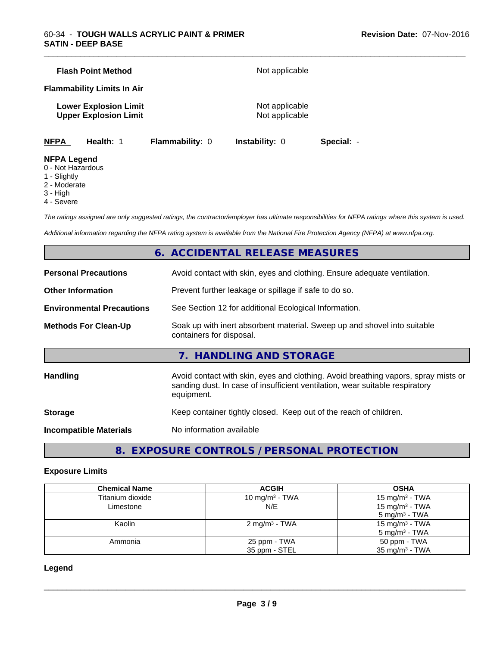|             | <b>Flash Point Method</b>                                    |                        | Not applicable                   |            |  |
|-------------|--------------------------------------------------------------|------------------------|----------------------------------|------------|--|
|             | <b>Flammability Limits In Air</b>                            |                        |                                  |            |  |
|             | <b>Lower Explosion Limit</b><br><b>Upper Explosion Limit</b> |                        | Not applicable<br>Not applicable |            |  |
| <b>NFPA</b> | Health: 1                                                    | <b>Flammability: 0</b> | <b>Instability: 0</b>            | Special: - |  |

## **NFPA Legend**

- 0 Not Hazardous
- 1 Slightly
- 2 Moderate
- 3 High
- 4 Severe

*The ratings assigned are only suggested ratings, the contractor/employer has ultimate responsibilities for NFPA ratings where this system is used.*

\_\_\_\_\_\_\_\_\_\_\_\_\_\_\_\_\_\_\_\_\_\_\_\_\_\_\_\_\_\_\_\_\_\_\_\_\_\_\_\_\_\_\_\_\_\_\_\_\_\_\_\_\_\_\_\_\_\_\_\_\_\_\_\_\_\_\_\_\_\_\_\_\_\_\_\_\_\_\_\_\_\_\_\_\_\_\_\_\_\_\_\_\_

*Additional information regarding the NFPA rating system is available from the National Fire Protection Agency (NFPA) at www.nfpa.org.*

## **6. ACCIDENTAL RELEASE MEASURES**

| <b>Personal Precautions</b>      | Avoid contact with skin, eyes and clothing. Ensure adequate ventilation.                                                                                                         |
|----------------------------------|----------------------------------------------------------------------------------------------------------------------------------------------------------------------------------|
| <b>Other Information</b>         | Prevent further leakage or spillage if safe to do so.                                                                                                                            |
| <b>Environmental Precautions</b> | See Section 12 for additional Ecological Information.                                                                                                                            |
| <b>Methods For Clean-Up</b>      | Soak up with inert absorbent material. Sweep up and shovel into suitable<br>containers for disposal.                                                                             |
|                                  | 7. HANDLING AND STORAGE                                                                                                                                                          |
| Handling                         | Avoid contact with skin, eyes and clothing. Avoid breathing vapors, spray mists or<br>sanding dust. In case of insufficient ventilation, wear suitable respiratory<br>equipment. |
| <b>Storage</b>                   | Keep container tightly closed. Keep out of the reach of children.                                                                                                                |
| <b>Incompatible Materials</b>    | No information available                                                                                                                                                         |
|                                  |                                                                                                                                                                                  |

**8. EXPOSURE CONTROLS / PERSONAL PROTECTION**

#### **Exposure Limits**

| <b>Chemical Name</b> | <b>ACGIH</b>               | <b>OSHA</b>                |
|----------------------|----------------------------|----------------------------|
| Titanium dioxide     | 10 mg/m <sup>3</sup> - TWA | 15 mg/m <sup>3</sup> - TWA |
| Limestone            | N/E                        | 15 mg/m $3$ - TWA          |
|                      |                            | $5 \text{ mg/m}^3$ - TWA   |
| Kaolin               | 2 mg/m <sup>3</sup> - TWA  | 15 mg/m <sup>3</sup> - TWA |
|                      |                            | $5 \text{ mg/m}^3$ - TWA   |
| Ammonia              | 25 ppm - TWA               | 50 ppm - TWA               |
|                      | 35 ppm - STEL              | $35 \text{ mg/m}^3$ - TWA  |

#### **Legend**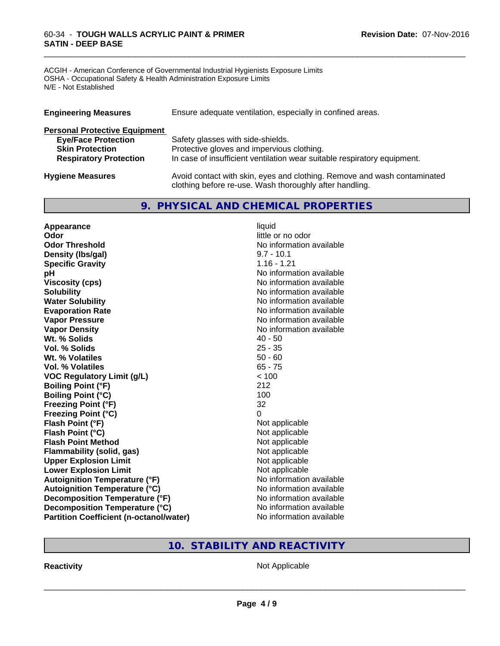#### 60-34 - **TOUGH WALLS ACRYLIC PAINT & PRIMER SATIN - DEEP BASE**

ACGIH - American Conference of Governmental Industrial Hygienists Exposure Limits OSHA - Occupational Safety & Health Administration Exposure Limits N/E - Not Established

| <b>Engineering Measures</b>          | Ensure adequate ventilation, especially in confined areas.                                                                          |
|--------------------------------------|-------------------------------------------------------------------------------------------------------------------------------------|
| <b>Personal Protective Equipment</b> |                                                                                                                                     |
| <b>Eye/Face Protection</b>           | Safety glasses with side-shields.                                                                                                   |
| <b>Skin Protection</b>               | Protective gloves and impervious clothing.                                                                                          |
| <b>Respiratory Protection</b>        | In case of insufficient ventilation wear suitable respiratory equipment.                                                            |
| <b>Hygiene Measures</b>              | Avoid contact with skin, eyes and clothing. Remove and wash contaminated<br>clothing before re-use. Wash thoroughly after handling. |

\_\_\_\_\_\_\_\_\_\_\_\_\_\_\_\_\_\_\_\_\_\_\_\_\_\_\_\_\_\_\_\_\_\_\_\_\_\_\_\_\_\_\_\_\_\_\_\_\_\_\_\_\_\_\_\_\_\_\_\_\_\_\_\_\_\_\_\_\_\_\_\_\_\_\_\_\_\_\_\_\_\_\_\_\_\_\_\_\_\_\_\_\_

## **9. PHYSICAL AND CHEMICAL PROPERTIES**

| Appearance                                     | liquid                   |
|------------------------------------------------|--------------------------|
| Odor                                           | little or no odor        |
| <b>Odor Threshold</b>                          | No information available |
| Density (Ibs/gal)                              | $9.7 - 10.1$             |
| <b>Specific Gravity</b>                        | $1.16 - 1.21$            |
| pH                                             | No information available |
| <b>Viscosity (cps)</b>                         | No information available |
| <b>Solubility</b>                              | No information available |
| <b>Water Solubility</b>                        | No information available |
| <b>Evaporation Rate</b>                        | No information available |
| <b>Vapor Pressure</b>                          | No information available |
| <b>Vapor Density</b>                           | No information available |
| Wt. % Solids                                   | $40 - 50$                |
| <b>Vol. % Solids</b>                           | $25 - 35$                |
| Wt. % Volatiles                                | $50 - 60$                |
| Vol. % Volatiles                               | $65 - 75$                |
| <b>VOC Regulatory Limit (g/L)</b>              | < 100                    |
| <b>Boiling Point (°F)</b>                      | 212                      |
| <b>Boiling Point (°C)</b>                      | 100                      |
| <b>Freezing Point (°F)</b>                     | 32                       |
| <b>Freezing Point (°C)</b>                     | $\Omega$                 |
| Flash Point (°F)                               | Not applicable           |
| Flash Point (°C)                               | Not applicable           |
| <b>Flash Point Method</b>                      | Not applicable           |
| <b>Flammability (solid, gas)</b>               | Not applicable           |
| <b>Upper Explosion Limit</b>                   | Not applicable           |
| <b>Lower Explosion Limit</b>                   | Not applicable           |
| <b>Autoignition Temperature (°F)</b>           | No information available |
| <b>Autoignition Temperature (°C)</b>           | No information available |
| Decomposition Temperature (°F)                 | No information available |
| Decomposition Temperature (°C)                 | No information available |
| <b>Partition Coefficient (n-octanol/water)</b> | No information available |

## **10. STABILITY AND REACTIVITY**

**Reactivity Not Applicable Not Applicable**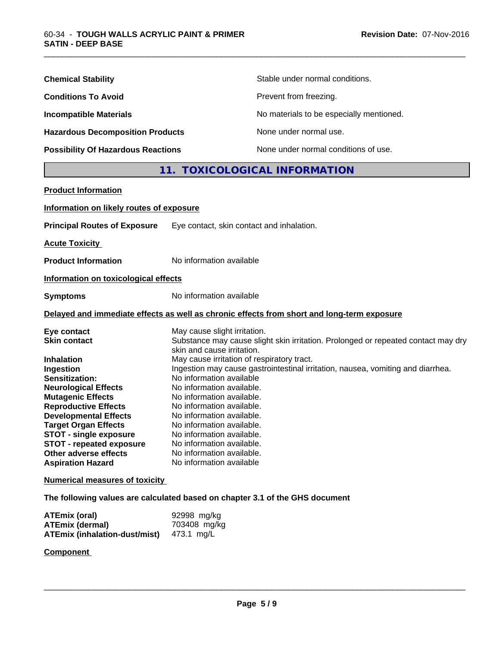| <b>Chemical Stability</b>                 | Stable under normal conditions.          |
|-------------------------------------------|------------------------------------------|
| <b>Conditions To Avoid</b>                | Prevent from freezing.                   |
| <b>Incompatible Materials</b>             | No materials to be especially mentioned. |
| <b>Hazardous Decomposition Products</b>   | None under normal use.                   |
| <b>Possibility Of Hazardous Reactions</b> | None under normal conditions of use.     |

## **11. TOXICOLOGICAL INFORMATION**

\_\_\_\_\_\_\_\_\_\_\_\_\_\_\_\_\_\_\_\_\_\_\_\_\_\_\_\_\_\_\_\_\_\_\_\_\_\_\_\_\_\_\_\_\_\_\_\_\_\_\_\_\_\_\_\_\_\_\_\_\_\_\_\_\_\_\_\_\_\_\_\_\_\_\_\_\_\_\_\_\_\_\_\_\_\_\_\_\_\_\_\_\_

| <b>Product Information</b>                                                                                                                                                                                                                                                                                                                   |                                                                                                                                                                                                                                                                                                                                                                                                                                                                                                                                                                                  |
|----------------------------------------------------------------------------------------------------------------------------------------------------------------------------------------------------------------------------------------------------------------------------------------------------------------------------------------------|----------------------------------------------------------------------------------------------------------------------------------------------------------------------------------------------------------------------------------------------------------------------------------------------------------------------------------------------------------------------------------------------------------------------------------------------------------------------------------------------------------------------------------------------------------------------------------|
| Information on likely routes of exposure                                                                                                                                                                                                                                                                                                     |                                                                                                                                                                                                                                                                                                                                                                                                                                                                                                                                                                                  |
| <b>Principal Routes of Exposure</b>                                                                                                                                                                                                                                                                                                          | Eye contact, skin contact and inhalation.                                                                                                                                                                                                                                                                                                                                                                                                                                                                                                                                        |
| <b>Acute Toxicity</b>                                                                                                                                                                                                                                                                                                                        |                                                                                                                                                                                                                                                                                                                                                                                                                                                                                                                                                                                  |
| <b>Product Information</b>                                                                                                                                                                                                                                                                                                                   | No information available                                                                                                                                                                                                                                                                                                                                                                                                                                                                                                                                                         |
| Information on toxicological effects                                                                                                                                                                                                                                                                                                         |                                                                                                                                                                                                                                                                                                                                                                                                                                                                                                                                                                                  |
| <b>Symptoms</b>                                                                                                                                                                                                                                                                                                                              | No information available                                                                                                                                                                                                                                                                                                                                                                                                                                                                                                                                                         |
|                                                                                                                                                                                                                                                                                                                                              | Delayed and immediate effects as well as chronic effects from short and long-term exposure                                                                                                                                                                                                                                                                                                                                                                                                                                                                                       |
| Eye contact<br><b>Skin contact</b><br><b>Inhalation</b><br>Ingestion<br>Sensitization:<br><b>Neurological Effects</b><br><b>Mutagenic Effects</b><br><b>Reproductive Effects</b><br><b>Developmental Effects</b><br><b>Target Organ Effects</b><br><b>STOT - single exposure</b><br><b>STOT - repeated exposure</b><br>Other adverse effects | May cause slight irritation.<br>Substance may cause slight skin irritation. Prolonged or repeated contact may dry<br>skin and cause irritation.<br>May cause irritation of respiratory tract.<br>Ingestion may cause gastrointestinal irritation, nausea, vomiting and diarrhea.<br>No information available<br>No information available.<br>No information available.<br>No information available.<br>No information available.<br>No information available.<br>No information available.<br>No information available.<br>No information available.<br>No information available |
| <b>Aspiration Hazard</b><br><b>Numerical measures of toxicity</b>                                                                                                                                                                                                                                                                            |                                                                                                                                                                                                                                                                                                                                                                                                                                                                                                                                                                                  |
|                                                                                                                                                                                                                                                                                                                                              | The following values are calculated based on chapter 3.1 of the GHS document                                                                                                                                                                                                                                                                                                                                                                                                                                                                                                     |
|                                                                                                                                                                                                                                                                                                                                              |                                                                                                                                                                                                                                                                                                                                                                                                                                                                                                                                                                                  |

| ATEmix (oral)                 | 92998 mg/kg  |
|-------------------------------|--------------|
| <b>ATEmix (dermal)</b>        | 703408 mg/kg |
| ATEmix (inhalation-dust/mist) | 473.1 ma/L   |

## **Component**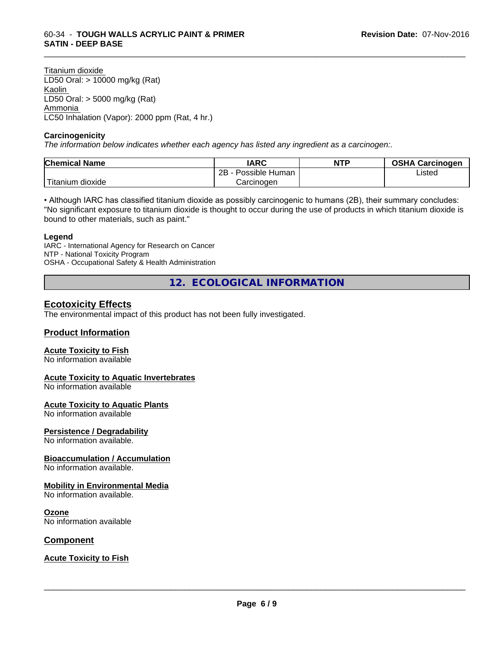Titanium dioxide LD50 Oral: > 10000 mg/kg (Rat) Kaolin LD50 Oral: > 5000 mg/kg (Rat) Ammonia LC50 Inhalation (Vapor): 2000 ppm (Rat, 4 hr.)

#### **Carcinogenicity**

*The information below indicateswhether each agency has listed any ingredient as a carcinogen:.*

| <b>Chemical Name</b> | <b>IARC</b>          | <b>NTP</b> | <b>OSHA Carcinogen</b> |
|----------------------|----------------------|------------|------------------------|
|                      | 2B<br>Possible Human |            | Listed                 |
| .<br>itanium dioxide | Carcinoɑen           |            |                        |

\_\_\_\_\_\_\_\_\_\_\_\_\_\_\_\_\_\_\_\_\_\_\_\_\_\_\_\_\_\_\_\_\_\_\_\_\_\_\_\_\_\_\_\_\_\_\_\_\_\_\_\_\_\_\_\_\_\_\_\_\_\_\_\_\_\_\_\_\_\_\_\_\_\_\_\_\_\_\_\_\_\_\_\_\_\_\_\_\_\_\_\_\_

• Although IARC has classified titanium dioxide as possibly carcinogenic to humans (2B), their summary concludes: "No significant exposure to titanium dioxide is thought to occur during the use of products in which titanium dioxide is bound to other materials, such as paint."

#### **Legend**

IARC - International Agency for Research on Cancer NTP - National Toxicity Program OSHA - Occupational Safety & Health Administration

**12. ECOLOGICAL INFORMATION**

### **Ecotoxicity Effects**

The environmental impact of this product has not been fully investigated.

#### **Product Information**

#### **Acute Toxicity to Fish**

No information available

#### **Acute Toxicity to Aquatic Invertebrates**

No information available

#### **Acute Toxicity to Aquatic Plants**

No information available

#### **Persistence / Degradability**

No information available.

#### **Bioaccumulation / Accumulation**

No information available.

#### **Mobility in Environmental Media**

No information available.

#### **Ozone**

No information available

#### **Component**

#### **Acute Toxicity to Fish**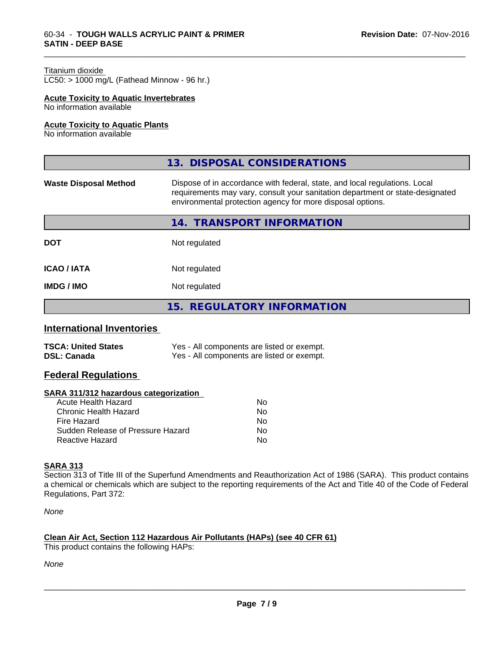#### Titanium dioxide

 $LC50:$  > 1000 mg/L (Fathead Minnow - 96 hr.)

#### **Acute Toxicity to Aquatic Invertebrates**

No information available

#### **Acute Toxicity to Aquatic Plants**

No information available

|                              | 13. DISPOSAL CONSIDERATIONS                                                                                                                                                                                               |
|------------------------------|---------------------------------------------------------------------------------------------------------------------------------------------------------------------------------------------------------------------------|
| <b>Waste Disposal Method</b> | Dispose of in accordance with federal, state, and local regulations. Local<br>requirements may vary, consult your sanitation department or state-designated<br>environmental protection agency for more disposal options. |
|                              | 14. TRANSPORT INFORMATION                                                                                                                                                                                                 |
| <b>DOT</b>                   | Not regulated                                                                                                                                                                                                             |
| <b>ICAO/IATA</b>             | Not regulated                                                                                                                                                                                                             |
| <b>IMDG / IMO</b>            | Not regulated                                                                                                                                                                                                             |
|                              | 15. REGULATORY INFORMATION                                                                                                                                                                                                |

\_\_\_\_\_\_\_\_\_\_\_\_\_\_\_\_\_\_\_\_\_\_\_\_\_\_\_\_\_\_\_\_\_\_\_\_\_\_\_\_\_\_\_\_\_\_\_\_\_\_\_\_\_\_\_\_\_\_\_\_\_\_\_\_\_\_\_\_\_\_\_\_\_\_\_\_\_\_\_\_\_\_\_\_\_\_\_\_\_\_\_\_\_

#### **International Inventories**

| <b>TSCA: United States</b> | Yes - All components are listed or exempt. |
|----------------------------|--------------------------------------------|
| <b>DSL: Canada</b>         | Yes - All components are listed or exempt. |

## **Federal Regulations**

#### **SARA 311/312 hazardous categorization**

| No |
|----|
| Nο |
| No |
| Nο |
| N٥ |
|    |

#### **SARA 313**

Section 313 of Title III of the Superfund Amendments and Reauthorization Act of 1986 (SARA). This product contains a chemical or chemicals which are subject to the reporting requirements of the Act and Title 40 of the Code of Federal Regulations, Part 372:

*None*

#### **Clean Air Act,Section 112 Hazardous Air Pollutants (HAPs) (see 40 CFR 61)**

This product contains the following HAPs:

*None*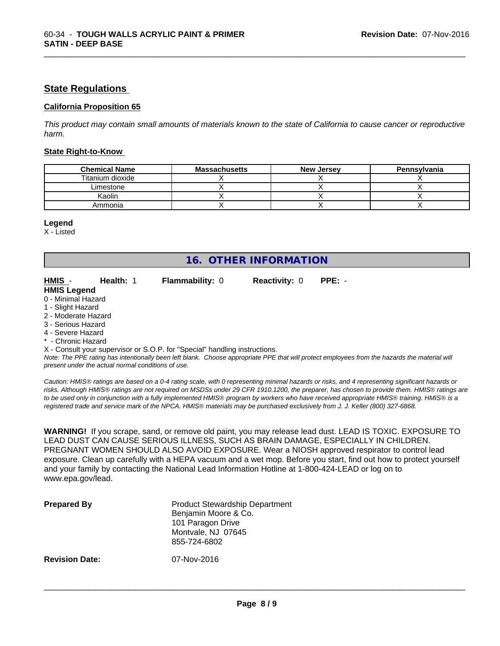#### **State Regulations**

#### **California Proposition 65**

This product may contain small amounts of materials known to the state of California to cause cancer or reproductive *harm.*

\_\_\_\_\_\_\_\_\_\_\_\_\_\_\_\_\_\_\_\_\_\_\_\_\_\_\_\_\_\_\_\_\_\_\_\_\_\_\_\_\_\_\_\_\_\_\_\_\_\_\_\_\_\_\_\_\_\_\_\_\_\_\_\_\_\_\_\_\_\_\_\_\_\_\_\_\_\_\_\_\_\_\_\_\_\_\_\_\_\_\_\_\_

#### **State Right-to-Know**

| <b>Chemical Name</b> | <b>Massachusetts</b> | <b>New Jersey</b> | Pennsylvania |
|----------------------|----------------------|-------------------|--------------|
| Titanium dioxide     |                      |                   |              |
| Limestone            |                      |                   |              |
| Kaolin               |                      |                   |              |
| Ammonia              |                      |                   |              |

#### **Legend**

X - Listed

## **16. OTHER INFORMATION**

**HMIS** - **Health:** 1 **Flammability:** 0 **Reactivity:** 0 **PPE:** -

| HMIS -             | Health: 1 | <b>Flammability: 0</b> |  |
|--------------------|-----------|------------------------|--|
| <b>HMIS Legend</b> |           |                        |  |
| 0 - Minimal Hazard |           |                        |  |

- 1 Slight Hazard
- 2 Moderate Hazard
- 3 Serious Hazard
- 4 Severe Hazard
- Chronic Hazard

X - Consult your supervisor or S.O.P. for "Special" handling instructions.

*Note: The PPE rating has intentionally been left blank. Choose appropriate PPE that will protect employees from the hazards the material will present under the actual normal conditions of use.*

*Caution: HMISÒ ratings are based on a 0-4 rating scale, with 0 representing minimal hazards or risks, and 4 representing significant hazards or risks. Although HMISÒ ratings are not required on MSDSs under 29 CFR 1910.1200, the preparer, has chosen to provide them. HMISÒ ratings are to be used only in conjunction with a fully implemented HMISÒ program by workers who have received appropriate HMISÒ training. HMISÒ is a registered trade and service mark of the NPCA. HMISÒ materials may be purchased exclusively from J. J. Keller (800) 327-6868.*

**WARNING!** If you scrape, sand, or remove old paint, you may release lead dust. LEAD IS TOXIC. EXPOSURE TO LEAD DUST CAN CAUSE SERIOUS ILLNESS, SUCH AS BRAIN DAMAGE, ESPECIALLY IN CHILDREN. PREGNANT WOMEN SHOULD ALSO AVOID EXPOSURE.Wear a NIOSH approved respirator to control lead exposure. Clean up carefully with a HEPA vacuum and a wet mop. Before you start, find out how to protect yourself and your family by contacting the National Lead Information Hotline at 1-800-424-LEAD or log on to www.epa.gov/lead.

| <b>Prepared By</b>    | <b>Product Stewardship Department</b><br>Benjamin Moore & Co.<br>101 Paragon Drive<br>Montvale, NJ 07645<br>855-724-6802 |  |
|-----------------------|--------------------------------------------------------------------------------------------------------------------------|--|
| <b>Revision Date:</b> | 07-Nov-2016                                                                                                              |  |